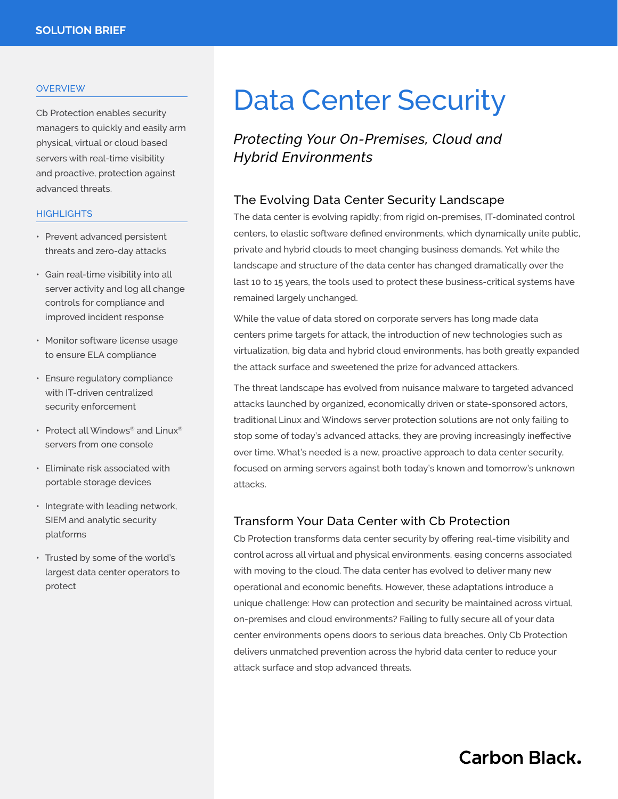#### **OVERVIEW**

Cb Protection enables security managers to quickly and easily arm physical, virtual or cloud based servers with real-time visibility and proactive, protection against advanced threats.

#### **HIGHLIGHTS**

- Prevent advanced persistent threats and zero-day attacks
- Gain real-time visibility into all server activity and log all change controls for compliance and improved incident response
- Monitor software license usage to ensure ELA compliance
- Ensure regulatory compliance with IT-driven centralized security enforcement
- Protect all Windows® and Linux® servers from one console
- Eliminate risk associated with portable storage devices
- Integrate with leading network, SIEM and analytic security platforms
- Trusted by some of the world's largest data center operators to protect

# Data Center Security

*Protecting Your On-Premises, Cloud and Hybrid Environments*

### The Evolving Data Center Security Landscape

The data center is evolving rapidly; from rigid on-premises, IT-dominated control centers, to elastic software defined environments, which dynamically unite public, private and hybrid clouds to meet changing business demands. Yet while the landscape and structure of the data center has changed dramatically over the last 10 to 15 years, the tools used to protect these business-critical systems have remained largely unchanged.

While the value of data stored on corporate servers has long made data centers prime targets for attack, the introduction of new technologies such as virtualization, big data and hybrid cloud environments, has both greatly expanded the attack surface and sweetened the prize for advanced attackers.

The threat landscape has evolved from nuisance malware to targeted advanced attacks launched by organized, economically driven or state-sponsored actors, traditional Linux and Windows server protection solutions are not only failing to stop some of today's advanced attacks, they are proving increasingly ineffective over time. What's needed is a new, proactive approach to data center security, focused on arming servers against both today's known and tomorrow's unknown attacks.

# Transform Your Data Center with Cb Protection

Cb Protection transforms data center security by offering real-time visibility and control across all virtual and physical environments, easing concerns associated with moving to the cloud. The data center has evolved to deliver many new operational and economic benefits. However, these adaptations introduce a unique challenge: How can protection and security be maintained across virtual, on-premises and cloud environments? Failing to fully secure all of your data center environments opens doors to serious data breaches. Only Cb Protection delivers unmatched prevention across the hybrid data center to reduce your attack surface and stop advanced threats.

**Carbon Black.**